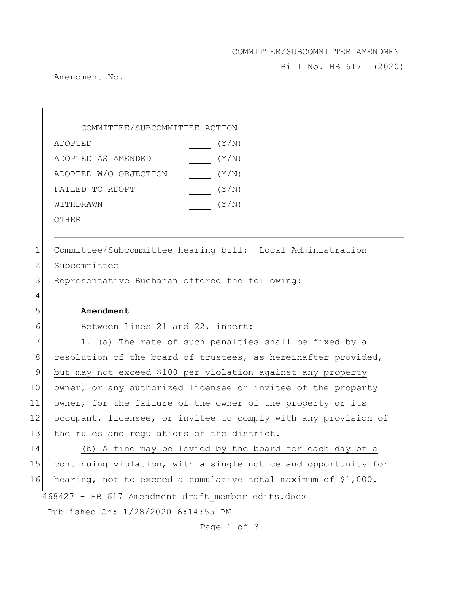## COMMITTEE/SUBCOMMITTEE AMENDMENT

Bill No. HB 617 (2020)

Amendment No.

468427 - HB 617 Amendment draft\_member edits.docx Published On: 1/28/2020 6:14:55 PM COMMITTEE/SUBCOMMITTEE ACTION ADOPTED(Y/N) ADOPTED AS AMENDED(Y/N) ADOPTED W/O OBJECTION (Y/N) FAILED TO ADOPT  $(Y/N)$ WITHDRAWN  $(Y/N)$ OTHER 1 Committee/Subcommittee hearing bill: Local Administration 2 Subcommittee 3 Representative Buchanan offered the following: 4 5 **Amendment** 6 Between lines 21 and 22, insert: 7 1. (a) The rate of such penalties shall be fixed by a 8 resolution of the board of trustees, as hereinafter provided, 9 but may not exceed \$100 per violation against any property 10 owner, or any authorized licensee or invitee of the property 11 owner, for the failure of the owner of the property or its 12 occupant, licensee, or invitee to comply with any provision of 13 the rules and regulations of the district. 14 (b) A fine may be levied by the board for each day of a 15 continuing violation, with a single notice and opportunity for 16 hearing, not to exceed a cumulative total maximum of \$1,000.

Page 1 of 3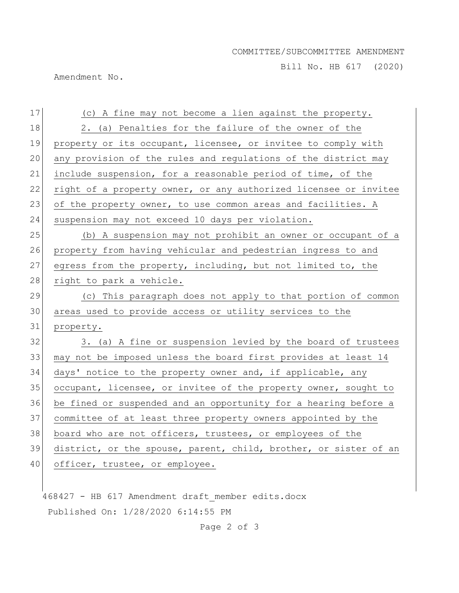## COMMITTEE/SUBCOMMITTEE AMENDMENT

Bill No. HB 617 (2020)

Amendment No.

| 17   | (c) A fine may not become a lien against the property.           |
|------|------------------------------------------------------------------|
| 18   | 2. (a) Penalties for the failure of the owner of the             |
| 19   | property or its occupant, licensee, or invitee to comply with    |
| 20   | any provision of the rules and regulations of the district may   |
| 21   | include suspension, for a reasonable period of time, of the      |
| 22   | right of a property owner, or any authorized licensee or invitee |
| 23   | of the property owner, to use common areas and facilities. A     |
| 24   | suspension may not exceed 10 days per violation.                 |
| 25   | (b) A suspension may not prohibit an owner or occupant of a      |
| 26   | property from having vehicular and pedestrian ingress to and     |
| 27   | egress from the property, including, but not limited to, the     |
| $28$ | right to park a vehicle.                                         |
| 29   | (c) This paragraph does not apply to that portion of common      |
| 30   | areas used to provide access or utility services to the          |
| 31   | property.                                                        |
| 32   | 3. (a) A fine or suspension levied by the board of trustees      |
| 33   | may not be imposed unless the board first provides at least 14   |
| 34   | days' notice to the property owner and, if applicable, any       |
| 35   | occupant, licensee, or invitee of the property owner, sought to  |
| 36   | be fined or suspended and an opportunity for a hearing before a  |
| 37   | committee of at least three property owners appointed by the     |
| 38   | board who are not officers, trustees, or employees of the        |
| 39   | district, or the spouse, parent, child, brother, or sister of an |
| 40   | officer, trustee, or employee.                                   |
|      |                                                                  |

468427 - HB 617 Amendment draft\_member edits.docx Published On: 1/28/2020 6:14:55 PM

Page 2 of 3